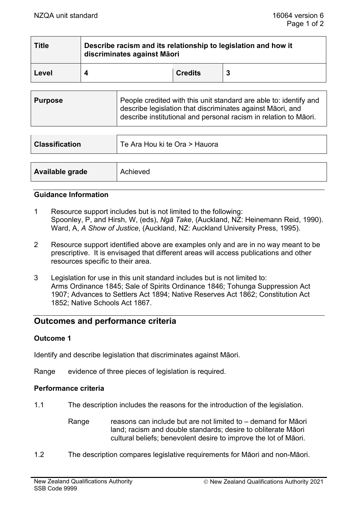| <b>Title</b> | Describe racism and its relationship to legislation and how it<br>discriminates against Māori |                |   |  |  |
|--------------|-----------------------------------------------------------------------------------------------|----------------|---|--|--|
| Level        |                                                                                               | <b>Credits</b> | 3 |  |  |

| <b>Classification</b> | Te Ara Hou ki te Ora > Hauora |  |
|-----------------------|-------------------------------|--|
|                       |                               |  |
| Available grade       | Achieved                      |  |

#### **Guidance Information**

- 1 Resource support includes but is not limited to the following: Spoonley, P, and Hirsh, W, (eds), *Ngā Take*, (Auckland, NZ: Heinemann Reid, 1990). Ward, A, *A Show of Justice*, (Auckland, NZ: Auckland University Press, 1995).
- 2 Resource support identified above are examples only and are in no way meant to be prescriptive. It is envisaged that different areas will access publications and other resources specific to their area.
- 3 Legislation for use in this unit standard includes but is not limited to: Arms Ordinance 1845; Sale of Spirits Ordinance 1846; Tohunga Suppression Act 1907; Advances to Settlers Act 1894; Native Reserves Act 1862; Constitution Act 1852; Native Schools Act 1867.

# **Outcomes and performance criteria**

### **Outcome 1**

Identify and describe legislation that discriminates against Māori.

Range evidence of three pieces of legislation is required.

### **Performance criteria**

- 1.1 The description includes the reasons for the introduction of the legislation.
	- Range reasons can include but are not limited to demand for Māori land; racism and double standards; desire to obliterate Māori cultural beliefs; benevolent desire to improve the lot of Māori.
- 1.2 The description compares legislative requirements for Māori and non-Māori.